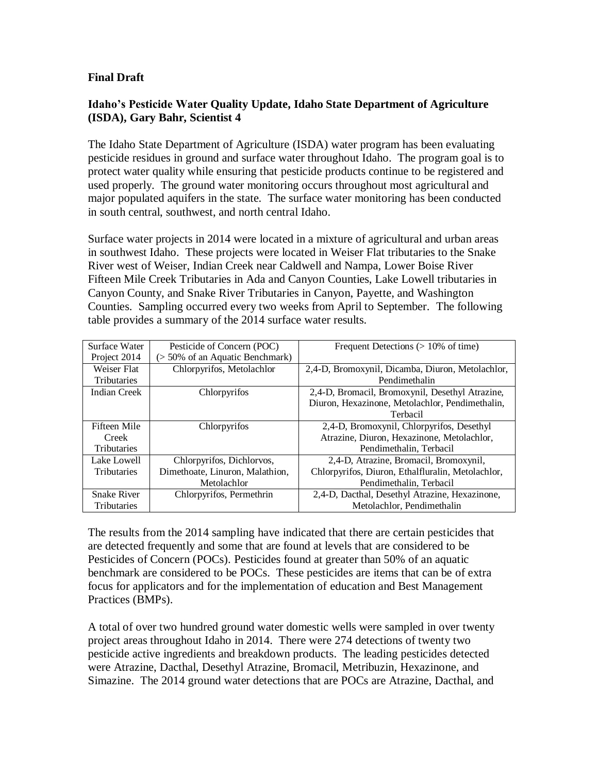## **Final Draft**

## **Idaho's Pesticide Water Quality Update, Idaho State Department of Agriculture (ISDA), Gary Bahr, Scientist 4**

The Idaho State Department of Agriculture (ISDA) water program has been evaluating pesticide residues in ground and surface water throughout Idaho. The program goal is to protect water quality while ensuring that pesticide products continue to be registered and used properly. The ground water monitoring occurs throughout most agricultural and major populated aquifers in the state. The surface water monitoring has been conducted in south central, southwest, and north central Idaho.

Surface water projects in 2014 were located in a mixture of agricultural and urban areas in southwest Idaho. These projects were located in Weiser Flat tributaries to the Snake River west of Weiser, Indian Creek near Caldwell and Nampa, Lower Boise River Fifteen Mile Creek Tributaries in Ada and Canyon Counties, Lake Lowell tributaries in Canyon County, and Snake River Tributaries in Canyon, Payette, and Washington Counties. Sampling occurred every two weeks from April to September. The following table provides a summary of the 2014 surface water results.

| Surface Water      | Pesticide of Concern (POC)      | Frequent Detections $(>10\%$ of time)             |
|--------------------|---------------------------------|---------------------------------------------------|
| Project 2014       | (> 50% of an Aquatic Benchmark) |                                                   |
| Weiser Flat        | Chlorpyrifos, Metolachlor       | 2,4-D, Bromoxynil, Dicamba, Diuron, Metolachlor,  |
| <b>Tributaries</b> |                                 | Pendimethalin                                     |
| Indian Creek       | Chlorpyrifos                    | 2,4-D, Bromacil, Bromoxynil, Desethyl Atrazine,   |
|                    |                                 | Diuron, Hexazinone, Metolachlor, Pendimethalin,   |
|                    |                                 | Terbacil                                          |
| Fifteen Mile       | Chlorpyrifos                    | 2,4-D, Bromoxynil, Chlorpyrifos, Desethyl         |
| Creek              |                                 | Atrazine, Diuron, Hexazinone, Metolachlor,        |
| <b>Tributaries</b> |                                 | Pendimethalin, Terbacil                           |
| Lake Lowell        | Chlorpyrifos, Dichlorvos,       | 2,4-D, Atrazine, Bromacil, Bromoxynil,            |
| <b>Tributaries</b> | Dimethoate, Linuron, Malathion, | Chlorpyrifos, Diuron, Ethalfluralin, Metolachlor, |
|                    | Metolachlor                     | Pendimethalin, Terbacil                           |
| <b>Snake River</b> | Chlorpyrifos, Permethrin        | 2,4-D, Dacthal, Desethyl Atrazine, Hexazinone,    |
| <b>Tributaries</b> |                                 | Metolachlor, Pendimethalin                        |

The results from the 2014 sampling have indicated that there are certain pesticides that are detected frequently and some that are found at levels that are considered to be Pesticides of Concern (POCs). Pesticides found at greater than 50% of an aquatic benchmark are considered to be POCs. These pesticides are items that can be of extra focus for applicators and for the implementation of education and Best Management Practices (BMPs).

A total of over two hundred ground water domestic wells were sampled in over twenty project areas throughout Idaho in 2014. There were 274 detections of twenty two pesticide active ingredients and breakdown products. The leading pesticides detected were Atrazine, Dacthal, Desethyl Atrazine, Bromacil, Metribuzin, Hexazinone, and Simazine. The 2014 ground water detections that are POCs are Atrazine, Dacthal, and